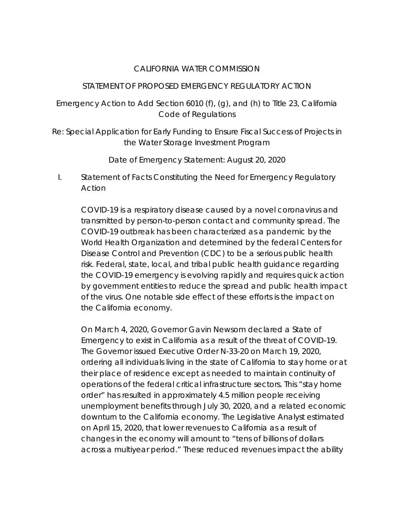## CALIFORNIA WATER COMMISSION

## STATEMENT OF PROPOSED EMERGENCY REGULATORY ACTION

Emergency Action to Add Section 6010 (f), (g), and (h) to Title 23, California Code of Regulations

Re: Special Application for Early Funding to Ensure Fiscal Success of Projects in the Water Storage Investment Program

Date of Emergency Statement: August 20, 2020

I. Statement of Facts Constituting the Need for Emergency Regulatory Action

COVID-19 is a respiratory disease caused by a novel coronavirus and transmitted by person-to-person contact and community spread. The COVID-19 outbreak has been characterized as a pandemic by the World Health Organization and determined by the federal Centers for Disease Control and Prevention (CDC) to be a serious public health risk. Federal, state, local, and tribal public health guidance regarding the COVID-19 emergency is evolving rapidly and requires quick action by government entities to reduce the spread and public health impact of the virus. One notable side effect of these efforts is the impact on the California economy.

On March 4, 2020, Governor Gavin Newsom declared a State of Emergency to exist in California as a result of the threat of COVID-19. The Governor issued Executive Order N-33-20 on March 19, 2020, ordering all individuals living in the state of California to stay home or at their place of residence except as needed to maintain continuity of operations of the federal critical infrastructure sectors. This "stay home order" has resulted in approximately 4.5 million people receiving unemployment benefits through July 30, 2020, and a related economic downturn to the California economy. The Legislative Analyst estimated on April 15, 2020, that lower revenues to California as a result of changes in the economy will amount to "tens of billions of dollars across a multiyear period." These reduced revenues impact the ability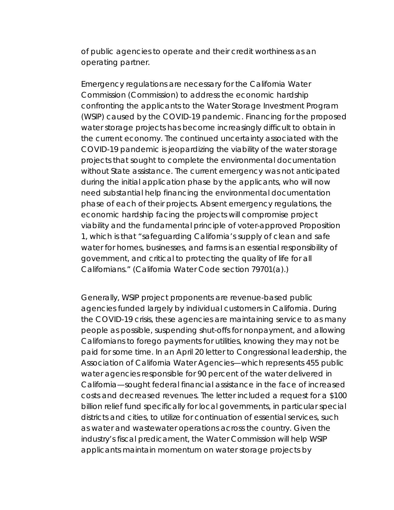of public agencies to operate and their credit worthiness as an operating partner.

Emergency regulations are necessary for the California Water Commission (Commission) to address the economic hardship confronting the applicants to the Water Storage Investment Program (WSIP) caused by the COVID-19 pandemic. Financing for the proposed water storage projects has become increasingly difficult to obtain in the current economy. The continued uncertainty associated with the COVID-19 pandemic is jeopardizing the viability of the water storage projects that sought to complete the environmental documentation without State assistance. The current emergency was not anticipated during the initial application phase by the applicants, who will now need substantial help financing the environmental documentation phase of each of their projects. Absent emergency regulations, the economic hardship facing the projects will compromise project viability and the fundamental principle of voter-approved Proposition 1, which is that "safeguarding California's supply of clean and safe water for homes, businesses, and farms is an essential responsibility of government, and critical to protecting the quality of life for all Californians." (California Water Code section 79701(a).)

Generally, WSIP project proponents are revenue-based public agencies funded largely by individual customers in California. During the COVID-19 crisis, these agencies are maintaining service to as many people as possible, suspending shut-offs for nonpayment, and allowing Californians to forego payments for utilities, knowing they may not be paid for some time. In an April 20 letter to Congressional leadership, the Association of California Water Agencies—which represents 455 public water agencies responsible for 90 percent of the water delivered in California—sought federal financial assistance in the face of increased costs and decreased revenues. The letter included a request for a \$100 billion relief fund specifically for local governments, in particular special districts and cities, to utilize for continuation of essential services, such as water and wastewater operations across the country. Given the industry's fiscal predicament, the Water Commission will help WSIP applicants maintain momentum on water storage projects by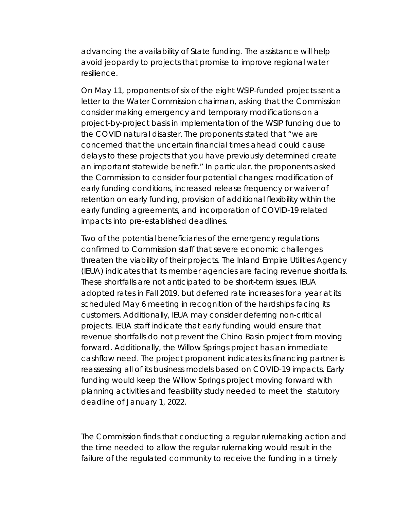advancing the availability of State funding. The assistance will help avoid jeopardy to projects that promise to improve regional water resilience.

On May 11, proponents of six of the eight WSIP-funded projects sent a letter to the Water Commission chairman, asking that the Commission consider making emergency and temporary modifications on a project-by-project basis in implementation of the WSIP funding due to the COVID natural disaster. The proponents stated that "we are concerned that the uncertain financial times ahead could cause delays to these projects that you have previously determined create an important statewide benefit." In particular, the proponents asked the Commission to consider four potential changes: modification of early funding conditions, increased release frequency or waiver of retention on early funding, provision of additional flexibility within the early funding agreements, and incorporation of COVID-19 related impacts into pre-established deadlines.

Two of the potential beneficiaries of the emergency regulations confirmed to Commission staff that severe economic challenges threaten the viability of their projects. The Inland Empire Utilities Agency (IEUA) indicates that its member agencies are facing revenue shortfalls. These shortfalls are not anticipated to be short-term issues. IEUA adopted rates in Fall 2019, but deferred rate increases for a year at its scheduled May 6 meeting in recognition of the hardships facing its customers. Additionally, IEUA may consider deferring non-critical projects. IEUA staff indicate that early funding would ensure that revenue shortfalls do not prevent the Chino Basin project from moving forward. Additionally, the Willow Springs project has an immediate cashflow need. The project proponent indicates its financing partner is reassessing all of its business models based on COVID-19 impacts. Early funding would keep the Willow Springs project moving forward with planning activities and feasibility study needed to meet the statutory deadline of January 1, 2022.

The Commission finds that conducting a regular rulemaking action and the time needed to allow the regular rulemaking would result in the failure of the regulated community to receive the funding in a timely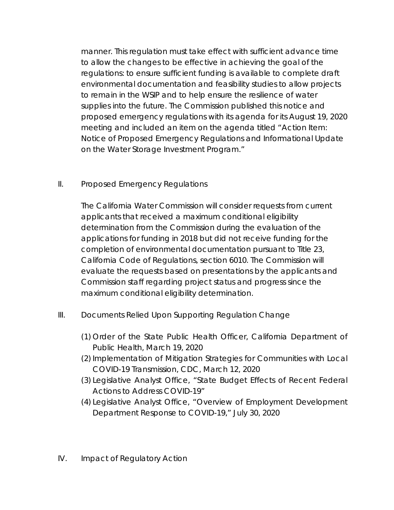manner. This regulation must take effect with sufficient advance time to allow the changes to be effective in achieving the goal of the regulations: to ensure sufficient funding is available to complete draft environmental documentation and feasibility studies to allow projects to remain in the WSIP and to help ensure the resilience of water supplies into the future. The Commission published this notice and proposed emergency regulations with its agenda for its August 19, 2020 meeting and included an item on the agenda titled "Action Item: Notice of Proposed Emergency Regulations and Informational Update on the Water Storage Investment Program."

## II. Proposed Emergency Regulations

The California Water Commission will consider requests from current applicants that received a maximum conditional eligibility determination from the Commission during the evaluation of the applications for funding in 2018 but did not receive funding for the completion of environmental documentation pursuant to Title 23, California Code of Regulations, section 6010. The Commission will evaluate the requests based on presentations by the applicants and Commission staff regarding project status and progress since the maximum conditional eligibility determination.

- III. Documents Relied Upon Supporting Regulation Change
	- (1) Order of the State Public Health Officer, California Department of Public Health, March 19, 2020
	- (2) Implementation of Mitigation Strategies for Communities with Local COVID-19 Transmission, CDC, March 12, 2020
	- (3) Legislative Analyst Office, "State Budget Effects of Recent Federal Actions to Address COVID-19"
	- (4) Legislative Analyst Office, "Overview of Employment Development Department Response to COVID-19," July 30, 2020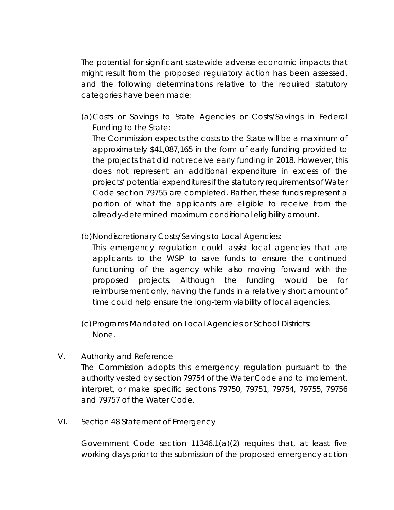The potential for significant statewide adverse economic impacts that might result from the proposed regulatory action has been assessed, and the following determinations relative to the required statutory categories have been made:

(a)Costs or Savings to State Agencies or Costs/Savings in Federal Funding to the State:

The Commission expects the costs to the State will be a maximum of approximately \$41,087,165 in the form of early funding provided to the projects that did not receive early funding in 2018. However, this does not represent an additional expenditure in excess of the projects' potential expenditures if the statutory requirements of Water Code section 79755 are completed. Rather, these funds represent a portion of what the applicants are eligible to receive from the already-determined maximum conditional eligibility amount.

(b) Nondiscretionary Costs/Savings to Local Agencies:

This emergency regulation could assist local agencies that are applicants to the WSIP to save funds to ensure the continued functioning of the agency while also moving forward with the proposed projects. Although the funding would be for reimbursement only, having the funds in a relatively short amount of time could help ensure the long-term viability of local agencies.

(c)Programs Mandated on Local Agencies or School Districts: None.

- V. Authority and Reference The Commission adopts this emergency regulation pursuant to the authority vested by section 79754 of the Water Code and to implement, interpret, or make specific sections 79750, 79751, 79754, 79755, 79756 and 79757 of the Water Code.
- VI. Section 48 Statement of Emergency

Government Code section 11346.1(a)(2) requires that, at least five working days prior to the submission of the proposed emergency action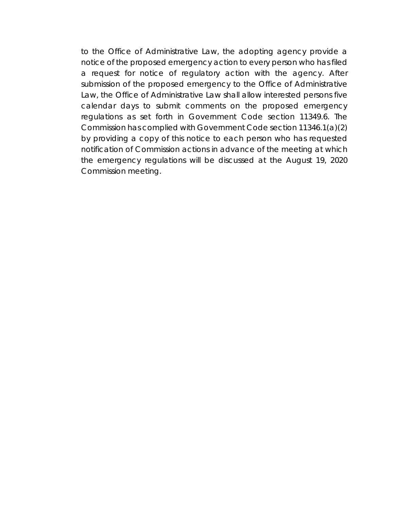to the Office of Administrative Law, the adopting agency provide a notice of the proposed emergency action to every person who has filed a request for notice of regulatory action with the agency. After submission of the proposed emergency to the Office of Administrative Law, the Office of Administrative Law shall allow interested persons five calendar days to submit comments on the proposed emergency regulations as set forth in Government Code section 11349.6. The Commission has complied with Government Code section 11346.1(a)(2) by providing a copy of this notice to each person who has requested notification of Commission actions in advance of the meeting at which the emergency regulations will be discussed at the August 19, 2020 Commission meeting.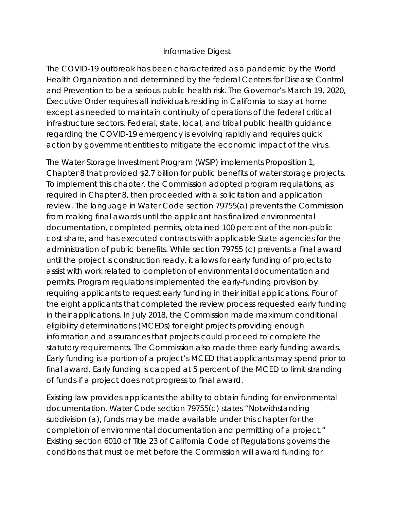## Informative Digest

The COVID-19 outbreak has been characterized as a pandemic by the World Health Organization and determined by the federal Centers for Disease Control and Prevention to be a serious public health risk. The Governor's March 19, 2020, Executive Order requires all individuals residing in California to stay at home except as needed to maintain continuity of operations of the federal critical infrastructure sectors. Federal, state, local, and tribal public health guidance regarding the COVID-19 emergency is evolving rapidly and requires quick action by government entities to mitigate the economic impact of the virus.

The Water Storage Investment Program (WSIP) implements Proposition 1, Chapter 8 that provided \$2.7 billion for public benefits of water storage projects. To implement this chapter, the Commission adopted program regulations, as required in Chapter 8, then proceeded with a solicitation and application review. The language in Water Code section 79755(a) prevents the Commission from making final awards until the applicant has finalized environmental documentation, completed permits, obtained 100 percent of the non-public cost share, and has executed contracts with applicable State agencies for the administration of public benefits. While section 79755 (c) prevents a final award until the project is construction ready, it allows for early funding of projects to assist with work related to completion of environmental documentation and permits. Program regulations implemented the early-funding provision by requiring applicants to request early funding in their initial applications. Four of the eight applicants that completed the review process requested early funding in their applications. In July 2018, the Commission made maximum conditional eligibility determinations (MCEDs) for eight projects providing enough information and assurances that projects could proceed to complete the statutory requirements. The Commission also made three early funding awards. Early funding is a portion of a project's MCED that applicants may spend prior to final award. Early funding is capped at 5 percent of the MCED to limit stranding of funds if a project does not progress to final award.

Existing law provides applicants the ability to obtain funding for environmental documentation. Water Code section 79755(c) states "Notwithstanding subdivision (a), funds may be made available under this chapter for the completion of environmental documentation and permitting of a project." Existing section 6010 of Title 23 of California Code of Regulations governs the conditions that must be met before the Commission will award funding for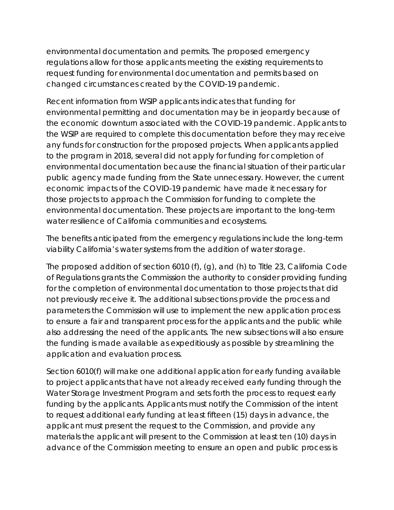environmental documentation and permits. The proposed emergency regulations allow for those applicants meeting the existing requirements to request funding for environmental documentation and permits based on changed circumstances created by the COVID-19 pandemic.

Recent information from WSIP applicants indicates that funding for environmental permitting and documentation may be in jeopardy because of the economic downturn associated with the COVID-19 pandemic. Applicants to the WSIP are required to complete this documentation before they may receive any funds for construction for the proposed projects. When applicants applied to the program in 2018, several did not apply for funding for completion of environmental documentation because the financial situation of their particular public agency made funding from the State unnecessary. However, the current economic impacts of the COVID-19 pandemic have made it necessary for those projects to approach the Commission for funding to complete the environmental documentation. These projects are important to the long-term water resilience of California communities and ecosystems.

The benefits anticipated from the emergency regulations include the long-term viability California's water systems from the addition of water storage.

The proposed addition of section 6010 (f), (g), and (h) to Title 23, California Code of Regulations grants the Commission the authority to consider providing funding for the completion of environmental documentation to those projects that did not previously receive it. The additional subsections provide the process and parameters the Commission will use to implement the new application process to ensure a fair and transparent process for the applicants and the public while also addressing the need of the applicants. The new subsections will also ensure the funding is made available as expeditiously as possible by streamlining the application and evaluation process.

Section 6010(f) will make one additional application for early funding available to project applicants that have not already received early funding through the Water Storage Investment Program and sets forth the process to request early funding by the applicants. Applicants must notify the Commission of the intent to request additional early funding at least fifteen (15) days in advance, the applicant must present the request to the Commission, and provide any materials the applicant will present to the Commission at least ten (10) days in advance of the Commission meeting to ensure an open and public process is